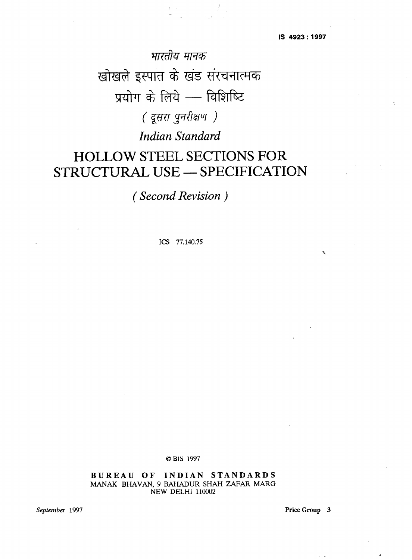भारतीय मानक खोखले इस्पात के खंड संरचनात्मक प्रयोग के लिये - विशिष्टि ( दूसरा पुनरीक्षण ) *Indian Standard* 

# **HOLLOWSTEELSECTIONSFOR STRUCTURAL USE - SPECIFICATION**

*( Second Revision* 

**ICS 77.140.75** 

**OBIS 1997** 

**BUREAU OF INDIAN STANDARDS MANAK BHAVAN, 9 BAHADUR SHAH ZAFAR MARG NEW DELHI 110002** 

*September 1997* **Price Group 3**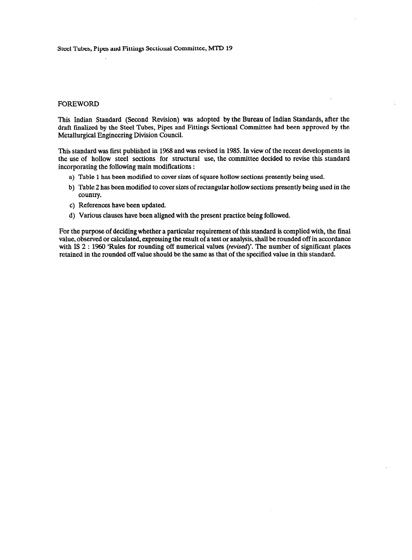# FOREWORD

This Indian Standard (Second Revision) was adopted by the Bureau of Indian Standards, after the draft finalized by the Steel Tubes, Pipes and Fittings Sectional Committee had been approved by the Metallurgical Engineering Division Council.

This standard was first published in 1968 and was revised in 1985. In view of the recent developments in the use of hollow steel sections for structural use, the committee decided to revise this standard incorporating the following main modifications :

- a) Table 1 has been modified to cover sizes of square hollow sections presently being used.
- b) Table 2 has been modified to cover sizes of rectangular hollow sections presently being used in the country.
- c) References have been updated.
- d) Various clauses have been aligned with the present practice being followed.

For the purpose of deciding whether a particular requirement of this standard is complied with, the final value, observed or calculated, expressing the result of a test or analysis, shall be rounded off in accordance with IS 2 : 1960 'Rules for rounding off numerical values (revised)'. The number of significant places retained in the rounded off value should be the same as that of the specified value in this standard.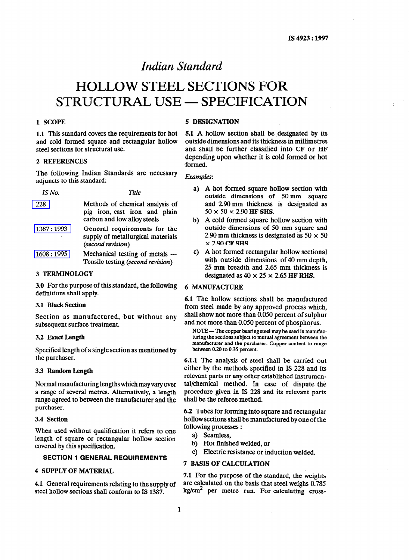# *Indian Standard*

# **HOLLOW STEEL SECTIONS FOR STRUCTURAL USE - SPECIFICATION**

1.1 This standard covers the requirements for hot and cold formed square and rectangular hollow steel sections for structural use.

# 2 REFERENCES

The following Indian Standards are necessary adjuncts to this standard: **Examples: Examples: Examples:** 

| 228       | Methods of chemical analysis of<br>pig iron, cast iron and plain<br>carbon and low alloy steels |
|-----------|-------------------------------------------------------------------------------------------------|
| 1387:1993 | General requirements for the<br>supply of metallurgical materials<br>(second revision)          |
| 1608:1995 | Mechanical testing of metals —<br>Tensile testing (second revision)                             |

### 3 TERMINOLOGY

3.0 For the purpose of this standard, the following definitions shall apply.

# 3.1 Black **Section**

Section as manufactured, but without any subsequent surface treatment.

# 3.2 **Exact Length**

Specified length of a single section as mentioned by the purchaser.

## 3.3 **Random Length**

Normal manufacturing lengths which **may vary** over a range of several metres. Alternatively, a length range agreed to between the manufacturer and the purchaser.

#### 3.4 Section

When used without qualification it refers to one length of square or rectangular hollow section covered by this specification.

# **SECTION 1 GENERAL REQUIREMENTS**

# 4 SUPPLY OF MATERIAL

4.1 General requirements relating to the supply of steel hollow sections shall conform to IS 1387.

# **1 SCOPE** 5 DESIGNATION

5.1 A hollow section shall be designated by its outside dimensions and its thickness in millimetres and shall be further classified into CF or HF depending upon whether it is cold formed or hot formed.

- a) A hot formed square hollow section with outside dimensions of 50 mm square and 2.90 mm thickness is designated as  $50 \times 50 \times 2.90$  HF SHS.
- b) A cold formed square hollow section with outside dimensions of 50 mm square and 2.90 mm thickness is designated as  $50 \times 50$  $\times$  2.90 CF SHS.
- c) A hot formed rectangular hollow sectional with outside dimensions of 40 mm depth, 25 mm breadth and 2.65 mm thickness is designated as  $40 \times 25 \times 2.65$  HF RHS.

# 6 MANUFACTURE

**6.1** The hollow sections shall be manufactured from steel made by any approved process which, shall show not more than 0.050 percent of sulphur and not more than 0.050 percent of phosphorus.

NOTE — The copper bearing steel may be used in manufacturing the sections subject to mutual agreement between the manufacturer and the purchaser. Copper content to range between 0.20 to 0.35 percent.

**6.1.1** The analysis of steel shall be carried out either by the methods specified in IS 228 and its relevant parts or any other established instrumental/chemical method. In case of dispute the procedure given in IS 228 and its relevant parts shall be the referee method.

6.2 Tubes for forming into square and rectangular hollow sections shall be manufactured by one of the following processes :

- a) Seamless,
- b) Hot finished welded, or
- c) Electric resistance or induction welded.

# 7 BASIS OF CALCULATION

7.1 For the purpose of the standard, the weights are calculated on the basis that steel weighs 0.785  $kg/cm<sup>2</sup>$  per metre run. For calculating cross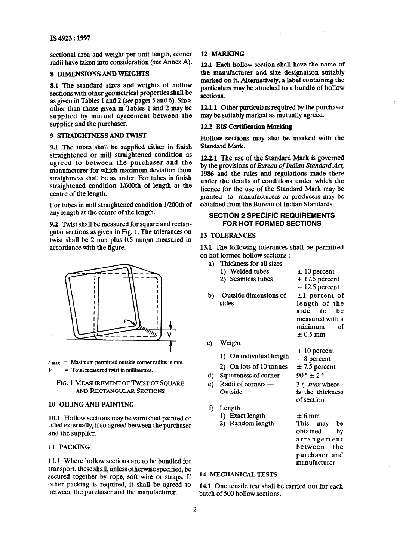sectional area and weight per unit length, corner radii have taken into consideration (see Annex A).

# 8 DIMENSIONS AND WEIGHTS

8.1 The standard sizes and weights of hollow sections with other geometrical properties shall be as given in Tables 1 and 2 (see pages 5 and 6). Sizes other than those given in Tables 1 and 2 may be supplied by mutual agreement between the supplier and the purchaser.

# 9 STRAIGHTNESS AND TWIST

9.1 The tubes shall be supplied either in finish straightened or mill straightened condition as agreed to between the purchaser and the manufacturer for which maximum deviation from straightness shall be as under. For tubes in finish straightened condition 1/6OOth of length at the centre of the length.

For tubes in mill straightened condition 1/200th of any length at the centre of the length.

9.2 Twist shall be measured for square and rectangular sections as given in Fig. 1. The tolerances on twist shall be 2 mm plus 0.5 mm/m measured in accordance with the figure.



 $r_{\text{max}}$  = Maximum permitted outside corner radius in mm. *V =* **Total measured twist in millimetres.** 

# **FIG.** 1 **MEASUREMENT OF TWIST OF SQUARE AND RECTANGULAR** SECTIONS

# 10 OILING AND PAINTING

10.1 Hollow sections may be varnished painted or oiled externally, if so agreed between the purchaser and the supplier.

# 11 PACKING

11.1 Where hollow sections are to be bundled for transport, these shall, unless otherwise specified, be secured together by rope, soft wire or straps. If other packing is required, it shall be agreed to between the purchaser and the manufacturer.

# 12 MARKING

12.1 Each hollow section shall have the name of the manufacturer and size designation suitably marked on it. Alternatively, a label containing the particulars may be attached to a bundle of hollow sections.

12.1.1 Other particulars required by the purchaser may be suitably marked as mutually agreed.

# 12.2 BIS Certification Marking

Hollow sections may also be marked with the Standard Mark.

12.2.1 The use of the Standard Mark is governed by the provisions of *Bureau of Indian Standard Act,*  1986 and the rules and regulations made there under the details of conditions under which the licence for the use of the Standard Mark may be granted to manufacturers or producers may be obtained from the Bureau of Indian Standards.

# **SECTION 2 SPECIFIC REQUIREMENTS FOR HOT FORMED SECTIONS**

# **13** TOLERANCES

13.1 The following tolerances shall be permitted on hot formed hollow sections :

- a) b) c) d)  $e$ ) f) Length Thickness for all sizes 1) Welded tubes 2) Seamless tubes Outside dimensions of sides Weight 1) On individual length 2) On lots of 10 tonnes Squareness of corner Radii of corners -Outside 1) Exact length 2) Random length  $± 10$  percent + 17.5 percent  $-12.5$  percent  $±1$  percent of length of the side to be measured with a minimum of  $± 0.5$  mm + 10 percent - 8 percent  $\pm$  7.5 percent  $90^\circ \pm 2^\circ$ 3  $t$ , max where  $\iota$ is the thickness of section  $\pm 6$  mm This may be
	- obtained bY arrangement between the purchaser and manufacturer

#### 14 MECHANICAL TESTS

**14.1** One tensile test shall be carried out for each batch of 500 hollow sections.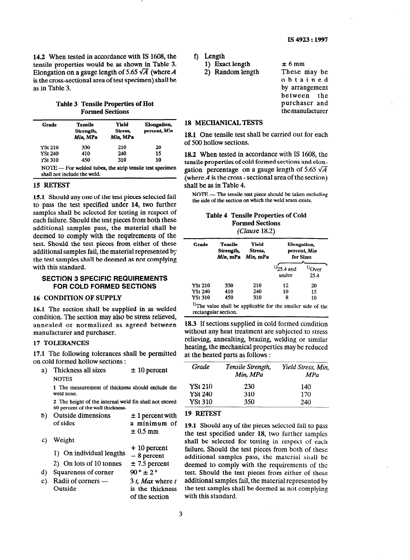**14.2** When tested in accordance with IS 1608, the tensile properties would be as shown in Table 3. Elongation on a gauge length of 5.65  $\sqrt{A}$  (where A is the cross-sectional area of test specimen) shall be as in Table 3.

# **Table 3 Tensile Properties of Hot Formed Sections**

| Grade          | <b>Tensile</b><br>Strength,<br>Min, MPa | Yield<br>Stress.<br>Min, MPa | Elongation,<br>percent, Min                                |
|----------------|-----------------------------------------|------------------------------|------------------------------------------------------------|
| <b>YSt 210</b> | 330                                     | 210                          | 20                                                         |
| <b>YSt 240</b> | 410                                     | 240                          | 15                                                         |
| <b>YSt 310</b> | 450                                     | 310                          | 10                                                         |
|                | shall not include the weld.             |                              | $NOTE$ – For welded tubes, the strip tensile test specimen |

# **15 RETEST**

**15.1** Should any one of the rest pieces selected fail to pass the test specified under 14, two further samples shall be selected for testing in respect of each failure. Should the test pieces from both these additional samples pass, the material shall be deemed to comply with the requirements of the test. Should the test pieces from either of these additional samples fail, the material represented by the test samples shall be deemed as not complying with this standard.

# **SECTION 3 SPECIFIC REQUIREMENTS FOR COLD FORMED SECTIONS**

# **16 CONDITION OF SUPPLY**

**16.1 The** section shall be supplied in as welded condition. The section may also be stress relieved, annealed or normalized as agreed between manufacturer and purchaser.

# 17 **TOLERANCES**

**17.1 The** following tolerances shall be permitted on cold formed hollow sections :

a) Thickness all sizes **NOTES**  $\pm$  10 percent

I The measurement of thickness should exclude the weld zone.

2 The height of the internal weld fin shall not exceed 60 percent of the wall thickness.

| b) Outside dimensions<br>of sides | $\pm$ 1 percent with<br>a minimum of<br>$\pm 0.5$ mm |
|-----------------------------------|------------------------------------------------------|

C) d)  $e)$ Weight + 10 percent 1) On individual lengths  $-8$  percent 2) On lots of 10 tonnes  $\pm 7.5$  percent Squareness of corner  $90^\circ \pm 2^\circ$ Radii of corners  $-$  3 t, Max where t Outside is the thickness f) **Length** 

**1) Exact length** 

2) Random length

 $\pm$  6 mm These may be obtained by arrangement between the purchaser and themanufacturer

# 18 **MECHANICAL** TESTS

18.1 One tensile test shall be carried out for each of 500 hollow sections.

18.2 When tested in accordance with IS 1608, the tensile properties of cold formed sections and elongation percentage on a gauge length of 5.65  $\sqrt{A}$ (where  $\vec{A}$  is the cross - sectional area of the section) shall be as in Table 4.

NOTE - The tensile test piece should be taken excluding the side of the section on which the weld seam exists.

# **Table 4 Tensile Properties of Cold Formed Sections**  *(Cluuse 18.2)*

| Grade   | Tensile<br>Strength,<br>Min. mPa | Yield<br>Stress.<br>Min, mPa | <b>Elongation</b> ,<br>percent. Min<br>for Sizes |              |  |
|---------|----------------------------------|------------------------------|--------------------------------------------------|--------------|--|
|         |                                  |                              | $^{1)25.4}$ and<br>under                         | Over<br>25.4 |  |
| YSt 210 | 330                              | 210                          | 12                                               | 20           |  |
| YSt 240 | 410                              | 240                          | 10                                               | 15           |  |
| YSt 310 | 450                              | 310                          | 8                                                | 10           |  |

<sup>1</sup>The value shall be applicable for the smaller side of the rectangular section.

**18.3** If sections supplied in cold formed condition without any heat treatment are subjected to stress relieving, annealting, brazing, welding or similar heating, the mechanical properties may be reduced at the heated parts as follows :

| Grade          | Tensile Strength,<br>Min, MPa | Yield Stress, Min,<br>MPa |
|----------------|-------------------------------|---------------------------|
| <b>YSt 210</b> | 230                           | 140                       |
| <b>YSt 240</b> | 310                           | 170                       |
| <b>YSt 310</b> | 350                           | 240                       |

# 19 **RETEST**

**19.1 Should** any of the pieces selected fail to pass the test specified under **18,** two further samples shall be selected for testing in respect of each failure. Should the test pieces from both of these additional samples pass, the material shall be deemed to comply with the requirements of the test. Should the test pieces from either of these additional samples fail, the material represented by the test samples shall be deemed as not complying with this standard.

of the section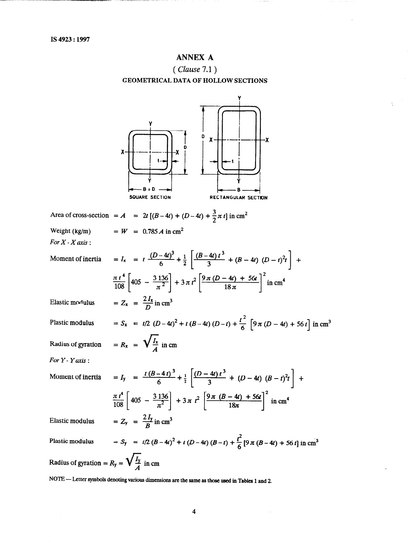# **ANNEX A ( Clause 7.1 ) GEOMETRICAL DATA OF HOLLOW SECTIONS**

|                                                         | D<br>۰X<br>χ.<br>B = D<br>SQUARE SECTION<br>RECTANGULAR SECTION                                                                             |
|---------------------------------------------------------|---------------------------------------------------------------------------------------------------------------------------------------------|
|                                                         | Area of cross-section = A = $2t [(B-4t) + (D-4t) + \frac{3}{2} \pi t]$ in cm <sup>2</sup>                                                   |
| Weight (kg/m)<br>For $X$ - $X$ axis:                    | $= W = 0.785 A$ in cm <sup>2</sup>                                                                                                          |
| Moment of inertia                                       | = $I_x$ = $t \frac{(D-4t)^3}{6} + \frac{1}{2} \left[ \frac{(B-4t)t^3}{3} + (B-4t) (D-t)^2 t \right] +$                                      |
|                                                         | $\frac{\pi t^4}{108} \left[405 - \frac{3136}{\pi^2}\right] + 3 \pi t^2 \left[ \frac{9 \pi (D - 4t) + 56t}{18 \pi} \right]^2 \text{in cm}^4$ |
| Elastic modulus                                         | $= Z_x = \frac{2 I_x}{D}$ in cm <sup>3</sup>                                                                                                |
| Plastic modulus                                         | = $S_x$ = $t/2$ $(D-4t)^2 + t (B-4t) (D-t) + \frac{t^2}{6} [9 \pi (D-4t) + 56 t] \text{ in cm}^3$                                           |
|                                                         | Radius of gyration = $R_x$ = $\sqrt{\frac{I_x}{4}}$ in cm                                                                                   |
| For $Y$ - $Y$ axis :                                    |                                                                                                                                             |
| Moment of inertia                                       | $I = I_y$ = $\frac{t (B-4t)^3}{6} + \frac{1}{2} \left[ \frac{(D-4t)t^3}{3} + (D-4t) (B-t)^2 t \right] +$                                    |
|                                                         | $\frac{\pi t^4}{108} \left[ 405 - \frac{3136}{\pi^2} \right] + 3 \pi t^2 \left[ \frac{9 \pi (B - 4t) + 56t}{18 \pi} \right]^2$<br>in $cm4$  |
| Elastic modulus                                         | $= Z_y = \frac{2 I_y}{R}$ in cm <sup>3</sup>                                                                                                |
| Plastic modulus                                         | = $S_y$ = $t/2 (B-4t)^2 + t (D-4t) (B-t) + \frac{t^2}{6} [9 \pi (B-4t) + 56 t]$ in cm <sup>3</sup>                                          |
| Radius of gyration = $R_y = \sqrt{\frac{I_y}{4}}$ in cm |                                                                                                                                             |
|                                                         | NOTE — Letter symbols denoting various dimensions are the same as those used in Tables 1 and 2.                                             |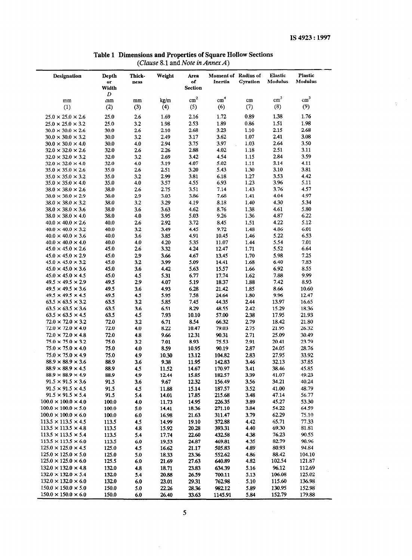| Table 1 Dimensions and Properties of Square Hollow Sections |
|-------------------------------------------------------------|
| ( <i>Clause</i> 8.1 and <i>Note in Annex A</i> )            |

| Designation                                                        | Depth<br>or<br>Width | Thick-<br>ness | Weight         | Area<br>of<br><b>Section</b> | Moment of Radius of<br>Inertia | Gyration     | <b>Elastic</b><br>Modulus | <b>Plastic</b><br>Modulus |  |
|--------------------------------------------------------------------|----------------------|----------------|----------------|------------------------------|--------------------------------|--------------|---------------------------|---------------------------|--|
|                                                                    | D                    |                |                |                              |                                |              |                           |                           |  |
| mm                                                                 | mm                   | mm             | kg/m           | $\rm cm^2$                   | cm <sup>4</sup>                | cm           | cm <sup>3</sup>           | cm <sup>3</sup>           |  |
| (1)                                                                | (2)                  | (3)            | (4)            | (5)                          | (6)                            | (7)          | (8)                       | (9)                       |  |
| $25.0 \times 25.0 \times 2.6$                                      | 25.0                 | 2.6            | 1.69           | 2.16                         | 1.72                           | 0.89         | 1.38                      | 1.76                      |  |
| $25.0 \times 25.0 \times 3.2$                                      | 25.0                 | 3.2            | 1.98           | 2.53                         | 1.89                           | 0.86         | 1.51                      | 1.98                      |  |
| $30.0 \times 30.0 \times 2.6$                                      | 30.0                 | 2.6            | 2.10           | 2.68                         | 3.23                           | 1.10         | 2.15                      | 2.68                      |  |
| $30.0 \times 30.0 \times 3.2$                                      | 30.0                 | 3.2            | 2.49           | 3.17                         | 3.62                           | 1.07         | 2.41                      | 3.08                      |  |
| $30.0 \times 30.0 \times 4.0$                                      | 30.0                 | 4.0            | 2.94           | 3.75<br>2.88                 | 3.97<br>4.02                   | 1.03         | 2.64<br>2.51              | 3.50<br>3.11              |  |
| $32.0 \times 32.0 \times 2.6$<br>$32.0 \times 32.0 \times 3.2$     | 32.0<br>32.0         | 2.6<br>3.2     | 2.26<br>2.69   | 3.42                         | 4.54                           | 1.18<br>1.15 | 2.84                      | 3.59                      |  |
| $32.0 \times 32.0 \times 4.0$                                      | 32.0                 | 4.0            | 3.19           | 4.07                         | 5.02                           | 1.11         | 3.14                      | 4.11                      |  |
| $35.0 \times 35.0 \times 2.6$                                      | 35.0                 | 2.6            | 2.51           | 3.20                         | 5.43                           | 1.30         | 3.10                      | 3.81                      |  |
| $35.0 \times 35.0 \times 3.2$                                      | 35.0                 | 3.2            | 2.99           | 3.81                         | 6.18                           | 1.27         | 3.53                      | 4.42                      |  |
| $35.0 \times 35.0 \times 4.0$                                      | 35.0                 | 4.0            | 3.57           | 4.55                         | 6.93                           | 1.23         | 3.96                      | 5.11                      |  |
| $38.0 \times 38.0 \times 2.6$                                      | 38.0                 | 2.6            | 2.75           | 3.51                         | 7.14                           | 1.43         | 3.76                      | 4.57                      |  |
| $38.0 \times 38.0 \times 2.9$                                      | 38.0                 | 2.9            | 3.03           | 3.86                         | 7.68                           | 1.41         | 4.04                      | 4.97                      |  |
| $38.0 \times 38.0 \times 3.2$                                      | 38.0                 | 3.2            | 3.29           | 4.19                         | 8.18                           | 1.40         | 4.30                      | 5.34                      |  |
| $38.0 \times 38.0 \times 3.6$                                      | 38.0                 | 3.6            | 3.63           | 4.62                         | 8.76                           | 1.38         | 4.61                      | 5.80                      |  |
| $38.0 \times 38.0 \times 4.0$                                      | 38.0                 | 4.0            | 3.95<br>2.92   | 5.03                         | 9.26                           | 1.36         | 4.87<br>4.22              | 6.22<br>5.12              |  |
| $40.0 \times 40.0 \times 2.6$<br>$40.0 \times 40.0 \times 3.2$     | 40.0<br>40.0         | 2.6<br>3.2     | 3.49           | 3.72<br>4.45                 | 8.45<br>9.72                   | 1.51<br>1.48 | 4.86                      | 6.01                      |  |
| $40.0 \times 40.0 \times 3.6$                                      | 40.0                 | 3.6            | 3.85           | 4.91                         | 10.45                          | 1.46         | 5.22                      | 6.53                      |  |
| $40.0 \times 40.0 \times 4.0$                                      | 40.0                 | 4.0            | 4.20           | 5.35                         | 11.07                          | 1.44         | 5.54                      | 7.01                      |  |
| $45.0 \times 45.0 \times 2.6$                                      | 45.0                 | 2.6            | 3.32           | 4.24                         | 12.47                          | 1.71         | 5.52                      | 6.64                      |  |
| $45.0 \times 45.0 \times 2.9$                                      | 45.0                 | 2.9            | 3.66           | 4.67                         | 13.45                          | 1.70         | 5.98                      | 7.25                      |  |
| $45.0 \times 45.0 \times 3.2$                                      | 45.0                 | 3.2            | 3.99           | 5.09                         | 14.41                          | 1.68         | 6.40                      | 7.83                      |  |
| $45.0 \times 45.0 \times 3.6$                                      | 45.0                 | 3.6            | 4.42           | 5.63                         | 15.57                          | 1.66         | 6.92                      | 8.55                      |  |
| $45.0 \times 45.0 \times 4.5$                                      | 45.0                 | 4.5            | 5.31           | 6.77                         | 17.74                          | 1.62         | 7.88                      | 9.99                      |  |
| $49.5 \times 49.5 \times 2.9$                                      | 49.5                 | 2.9            | 4.07           | 5.19                         | 18.37                          | 1.88         | 7.42                      | 8.93                      |  |
| $49.5 \times 49.5 \times 3.6$                                      | 49.5                 | 3.6            | 4.93           | 6.28                         | 21.42                          | 1.85         | 8.66                      | 10.60                     |  |
| $49.5 \times 49.5 \times 4.5$                                      | 49.5                 | 4.5            | 5.95           | 7.58                         | 24.64                          | 1.80         | 9.96                      | 12.47                     |  |
| $63.5 \times 63.5 \times 3.2$                                      | 63.5                 | 3.2            | 5.85           | 7.45                         | 44.35                          | 2.44         | 13.97                     | 16.65                     |  |
| $63.5 \times 63.5 \times 3.6$<br>$63.5 \times 63.5 \times 4.5$     | 63.5<br>63.5         | 3.6<br>4.5     | 6.51<br>7.93   | 8.29<br>10.10                | 48.55<br>57.00                 | 2.42<br>2.38 | 15.29<br>17.95            | 18.36<br>21.93            |  |
| $72.0 \times 72.0 \times 3.2$                                      | 72.0                 | 3.2            | 6.71           | 8.54                         | 66.32                          | 2.79         | 18.42                     | 21.80                     |  |
| $72.0 \times 72.0 \times 4.0$                                      | 72.0                 | 4.0            | 8.22           | 10.47                        | 79.03                          | 2.75         | 21.95                     | 26.32                     |  |
| $72.0 \times 72.0 \times 4.8$                                      | 72.0                 | 4.8            | 9.66           | 12.31                        | 90.31                          | 2.71         | 25.09                     | 30.49                     |  |
| $75.0 \times 75.0 \times 3.2$                                      | 75.0                 | 3.2            | 7.01           | 8.93                         | 75.53                          | 2.91         | 20.41                     | 23.79                     |  |
| $75.0 \times 75.0 \times 4.0$                                      | 75.0                 | 4.0            | 8.59           | 10.95                        | 90.19                          | 2.87         | 24.05                     | 28.76                     |  |
| $75.0 \times 75.0 \times 4.9$                                      | 75.0                 | 4.9            | 10.30          | 13.12                        | 104.82                         | 2.83         | 27.95                     | 33.92                     |  |
| $88.9 \times 88.9 \times 3.6$                                      | 88.9                 | 3.6            | 9.38           | 11.95                        | 142.83                         | 3.46         | 32.13                     | 37.85                     |  |
| $88.9 \times 88.9 \times 4.5$                                      | 88.9                 | 4.5            | 11.52          | 14.67                        | 170.97                         | 3.41         | 38.46                     | 45.85                     |  |
| $88.9 \times 88.9 \times 4.9$                                      | 88.9                 | 4.9            | 12.44          | 15.85                        | 182.57                         | 3.39         | 41.07                     | 49.23                     |  |
| $91.5 \times 91.5 \times 3.6$                                      | 91.5                 | 3.6            | 9.67           | 12.32                        | 156.49                         | 3.56         | 34.21                     | 40.24                     |  |
| $91.5 \times 91.5 \times 4.5$                                      | 91.5                 | 4.5            | 11.88          | 15.14                        | 187.57                         | 3.52         | 41.00                     | 48.79                     |  |
| $91.5 \times 91.5 \times 5.4$<br>$100.0 \times 100.0 \times 4.0$   | 91.5                 | 5.4            | 14.01          | 17.85                        | 215.68                         | 3.48<br>3.89 | 47.14<br>45.27            | 56.77<br>53.30            |  |
| $100.0 \times 100.0 \times 5.0$                                    | 100.0<br>100.0       | 4.0<br>5.0     | 11.73<br>14.41 | 14.95<br>18.36               | 226.35<br>271.10               | 3.84         | 54.22                     | 64.59                     |  |
| $100.0 \times 100.0 \times 6.0$                                    | 100.0                | 6.0            | 16.98          | 21.63                        | 311.47                         | 3.79         | 62.29                     | 75.10                     |  |
| $113.5 \times 113.5 \times 4.5$                                    | 113.5                | 4.5            | 14.99          | 19.10                        | 372.88                         | 4.42         | 65.71                     | 77.33                     |  |
| $113.5 \times 113.5 \times 4.8$                                    | 113.5                | 4.8            | 15.92          | 20.28                        | 393.31                         | 4.40         | 69.30                     | 81.81                     |  |
| $113.5 \times 113.5 \times 5.4$                                    | 113.5                | 5.4            | 17.74          | 22.60                        | 432.58                         | 4.38         | 76.23                     | 90.55                     |  |
| $113.5 \times 113.5 \times 6.0$                                    | 113.5                | 6.0            | 19.53          | 24.87                        | 469.81                         | 4.35         | 82.79                     | 98.96                     |  |
| $125.0 \times 125.0 \times 4.5$                                    | 125.0                | 4.5            | 16.62          | 21.17                        | 505.83                         | 4.89         | 80.93                     | 94.84                     |  |
| $125.0 \times 125.0 \times 5.0$                                    | 125.0                | 5.0            | 18.33          | 23.36                        | 552.62                         | 4.86         | 88.42                     | 104.10                    |  |
| $125.0 \times 125.0 \times 6.0$                                    | 125.5                | 6.0            | 21.69          | 27.63                        | 640.89                         | 4.82         | 102.54                    | 121.87                    |  |
| $132.0 \times 132.0 \times 4.8$                                    | 132.0                | 4.8            | 18.71          | 23.83                        | 634.39                         | 5.16         | 96.12                     | 112.69                    |  |
| $132.0 \times 132.0 \times 5.4$                                    | 132.0                | 5.4            | 20.88          | 26.59                        | 700.11                         | 5.13         | 106.08                    | 125.02                    |  |
| $132.0 \times 132.0 \times 6.0$<br>$150.0 \times 150.0 \times 5.0$ | 132.0<br>150.0       | 6.0            | 23.01          | 29.31                        | 762.98                         | 5.10<br>5.89 | 115.60<br>130.95          | 136.98<br>152.98          |  |
| $150.0 \times 150.0 \times 6.0$                                    | 150.0                | 5.0<br>6.0     | 22.26<br>26.40 | 28.36<br>33.63               | 982.12<br>1145.91              | 5.84         | 152.79                    | 179.88                    |  |
|                                                                    |                      |                |                |                              |                                |              |                           |                           |  |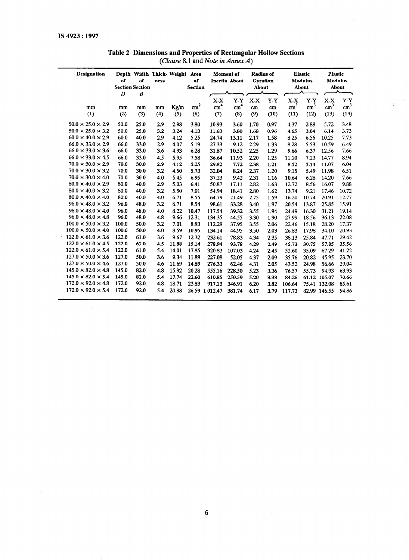| Designation                    |       |                        |      | Depth Width Thick- Weight Area |                 |                 | Moment of       | <b>Radius of</b> |                 |                 | <b>Elastic</b>  | <b>Plastic</b>  |                 |
|--------------------------------|-------|------------------------|------|--------------------------------|-----------------|-----------------|-----------------|------------------|-----------------|-----------------|-----------------|-----------------|-----------------|
|                                | of    | of                     | ness |                                | of              |                 | Inertia About   |                  | <b>Gyration</b> |                 | <b>Modulus</b>  |                 | <b>Modulus</b>  |
|                                |       | <b>Section Section</b> |      |                                | <b>Section</b>  |                 |                 | About            |                 |                 | About           |                 | About           |
|                                | D     | $\boldsymbol{B}$       |      |                                |                 |                 |                 |                  |                 |                 |                 |                 |                 |
|                                |       |                        |      |                                |                 | $X-X$           | Y-Y             | $X-X$            | $Y-Y$           | $X-X$           | $Y-Y$           | $X-X$           | $Y - Y$         |
| mm                             | mm    | mm                     | mm   | Kg/m                           | cm <sup>2</sup> | cm <sup>4</sup> | cm <sup>4</sup> | cm               | cm              | cm <sup>3</sup> | cm <sup>3</sup> | cm <sup>3</sup> | cm <sup>3</sup> |
| (1)                            | (2)   | (3)                    | (4)  | (5)                            | (6)             | (7)             | (8)             | (9)              | (10)            | (11)            | (12)            | (13)            | (14)            |
| $50.0 \times 25.0 \times 2.9$  | 50.0  | 25.0                   | 2.9  | 2.98                           | 3.80            | 10.93           | 3.60            | 1.70             | 0.97            | 4.37            | 2.88            | 5.72            | 3.48            |
| $50.0 \times 25.0 \times 3.2$  | 50.0  | 25.0                   | 3.2  | 3.24                           | 4.13            | 11.63           | 3.80            | 1.68             | 0.96            | 4.65            | 3.04            | 6.14            | 3.73            |
| $60.0 \times 40.0 \times 2.9$  | 60.0  | 40.0                   | 2.9  | 4.12                           | 5.25            | 24.74           | 13.11           | 2.17             | 1.58            | 8.25            | 6.56            | 10.25           | 7.73            |
| $66.0 \times 33.0 \times 2.9$  | 66.0  | 33.0                   | 2.9  | 4.07                           | 5.19            | 27.33           | 9.12            | 2.29             | 1.33            | 8.28            | 5.53            | 10.59           | 6.49            |
| $66.0 \times 33.0 \times 3.6$  | 66.0  | 33.0                   | 3.6  | 4.93                           | 6.28            | 31.87           | 10.52           | 2.25             | 1.29            | 9.66            | 6.37            | 12.56           | 7.66            |
| $66.0 \times 33.0 \times 4.5$  | 66.0  | 33.0                   | 4.5  | 5.95                           | 7.58            | 36.64           | 11.93           | 2.20             | 1.25            | 11.10           | 7.23            | 14.77           | 8.94            |
| $70.0 \times 30.0 \times 2.9$  | 70.0  | 30.0                   | 2.9  | 4.12                           | 5.25            | 29.82           | 7.72            | 2.38             | 1.21            | 8.52            | 5.14            | 11.07           | 6.04            |
| $70.0 \times 30.0 \times 3.2$  | 70.0  | 30.0                   | 3.2  | 4.50                           | 5.73            | 32.04           | 8.24            | 2.37             | 1.20            | 9.15            | 5.49            | 11.98           | 6.51            |
| $70.0 \times 30.0 \times 4.0$  | 70.0  | 30.0                   | 4.0  | 5.45                           | 6.95            | 37.23           | 9.42            | 2.31             | 1.16            | 10.64           | 6.28            | 14.20           | 7.66            |
| $80.0 \times 40.0 \times 2.9$  | 80.0  | 40.0                   | 2.9  | 5.03                           | 6.41            | 50.87           | 17.11           | 2.82             | 1.63            | 12.72           | 8.56            | 16.07           | 9.88            |
| $80.0 \times 40.0 \times 3.2$  | 80.0  | 40.0                   | 3.2  | 5.50                           | 7.01            | 54.94           | 18.41           | 2.80             | 1.62            | 13.74           | 9.21            | 17.46           | 10.72           |
| $80.0 \times 40.0 \times 4.0$  | 80.0  | 40.0                   | 4.0  | 6.71                           | 8.55            | 64.79           | 21.49           | 2.75             | 1.59            | 16.20           | 10.74           | 20.91           | 12.77           |
| $96.0 \times 48.0 \times 3.2$  | 96.0  | 48.0                   | 3.2  | 6.71                           | 8.54            | 98.61           | 33.28           | 3.40             | 1.97            | 20.54           | 13.87           | 25.85           | 15.91           |
| $96.0 \times 48.0 \times 4.0$  | 96.0  | 48.0                   | 4.0  | 8.22                           | 10.47           | 117.54          | 39.32           | 3.55             | 1.94            | 24.49           | 16.30           | 31.21           | 19.14           |
| $96.0 \times 48.0 \times 4.8$  | 96.0  | 48.0                   | 4.8  | 9.66                           | 12.31           | 134.35          | 44.55           | 3.30             | 1.90            | 27.99           | 18.56           | 36.13           | 22.08           |
| $100.0 \times 50.0 \times 3.2$ | 100.0 | 50.0                   | 3.2  | 7.01                           | 8.93            | 112.29          | 37.95           | 3.55             | 2.06            | 22.46           | 15.18           | 28.20           | 17.37           |
| $100.0 \times 50.0 \times 4.0$ | 100.0 | 50.0                   | 4.0  | 8.59                           | 10.95           | 134.14          | 44.95           | 3.50             | 2.03            | 26.83           | 17.98           | 34.10           | 20.93           |
| $122.0 \times 61.0 \times 3.6$ | 122.0 | 61.0                   | 3.6  | 9.67                           | 12.32           | 232.61          | 78.83           | 4.34             | 2.35            | 38.13           | 25.84           | 47.71           | 29.42           |
| $122.0 \times 61.0 \times 4.5$ | 122.0 | 61.0                   | 4.5  | 11.88                          | 15.14           | 278.94          | 93.78           | 4.29             | 2.49            | 45.73           | 30.75           | 57.85           | 35.56           |
| $122.0 \times 61.0 \times 5.4$ | 122.0 | 61.0                   | 5.4  | 14.01                          | 17.85           | 320.83          | 107.03          | 4.24             | 2.45            | 52.60           | 35.09           | 67.29           | 41.22           |
| $127.0 \times 50.0 \times 3.6$ | 127.0 | 50.0                   | 3.6  | 9.34                           | 11.89           | 227.08          | 52.05           | 4.37             | 2.09            | 35.76           | 20.82           | 45.95           | 23.70           |
| $127.0 \times 50.0 \times 4.6$ | 127.0 | 50.0                   | 4.6  | 11.69                          | 14.89           | 276.33          | 62.46           | 4.31             | 2.05            | 43.52           | 24.98           | 56.66           | 29.04           |
| $145.0 \times 82.0 \times 4.8$ | 145.0 | 82.0                   | 4.8  | 15.92                          | 20.28           | 555.16          | 228.50          | 5.23             | 3.36            | 76.57           | 55.73           | 94.93           | 63.93           |
| $145.0 \times 82.0 \times 5.4$ | 145.0 | 82.0                   | 5.4  | 17.74                          | 22.60           | 610.85          | 250.59          | 5.20             | 3.33            | 84.26           |                 | 61.12 105.07    | 70.66           |
| $172.0 \times 92.0 \times 4.8$ | 172.0 | 92.0                   | 4.8  | 18.71                          | 23.83           | 917.13          | 346.91          | 6.20             | 3.82            | 106.64          |                 | 75.41 132.08    | 85.61           |
| $172.0 \times 92.0 \times 5.4$ | 172.0 | 92.0                   | 5.4  | 20.88                          |                 | 26.59 1 012.47  | 381.74          | 6.17             | 3.79            | 117.73          |                 | 82.99 146.55    | 94.86           |
|                                |       |                        |      |                                |                 |                 |                 |                  |                 |                 |                 |                 |                 |

# **Table 2 Dimensions and Properties of Rectangular Hollow Sections**  *(Clause 8.1* **and** *Note in Annex A)*

 $\bar{z}$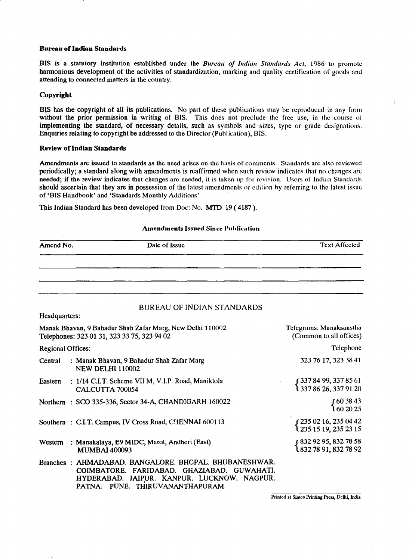# **Bupau of Indian Standards**

BIS is a statutory institution established under the *Bureau of Indian Standards Act, 1986 lo* promote harmonious development of the activities of standardization, marking and quality certification of goods and attending to connected matters in the country.

# **Copyright**

BIS has the copyright of all its publications. No part of these publications may be reproduced in any form without the prior permission in writing of BIS. This does not preclude the free use, in the course of implementing the standard, of necessary details, such as symbols and sizes, type or grade designations. Enquiries relating to copyright be addressed to the Director (Publication), BIS.

# **Review of Indian Standards**

Amendments are issued to standards as the need arises on the basis of comments. Standards are also reviewed periodically; a standard along with amendments is reaffirmed when such review indicates that no changes arc needed; if the review indicates that changes are needed, it is taken up for revision. Users of Indian Standards should ascertain that they are in possession of the latest amendments or edition by referring to the latest issue of 'BIS Handbook' and 'Standards Monthly Additions'

**Amendments Issued Since Publication** 

This Indian Standard has been developed from Doc: No. MTD 19 (4187).

| Amend No.                | Date of Issue                                                                                                                                                                                        | <b>Text Affected</b>                                    |
|--------------------------|------------------------------------------------------------------------------------------------------------------------------------------------------------------------------------------------------|---------------------------------------------------------|
|                          |                                                                                                                                                                                                      |                                                         |
|                          |                                                                                                                                                                                                      |                                                         |
|                          |                                                                                                                                                                                                      |                                                         |
|                          | <b>BUREAU OF INDIAN STANDARDS</b>                                                                                                                                                                    |                                                         |
| Headquarters:            |                                                                                                                                                                                                      |                                                         |
|                          | Manak Bhavan, 9 Bahadur Shah Zafar Marg, New Delhi 110002<br>Telephones: 323 01 31, 323 33 75, 323 94 02                                                                                             | Telegrams: Manaksanstha<br>(Common to all offices)      |
| <b>Regional Offices:</b> |                                                                                                                                                                                                      | Telephone                                               |
| Central                  | : Manak Bhavan, 9 Bahadur Shah Zafar Marg<br><b>NEW DELHI 110002</b>                                                                                                                                 | 323 76 17, 323 38 41                                    |
| Eastern                  | : 1/14 C.I.T. Scheme VII M, V.I.P. Road, Maniktola<br>CALCUTTA 700054                                                                                                                                | [337 84 99, 337 85 61]<br>1 337 86 26, 337 91 20        |
|                          | Northern: SCO 335-336, Sector 34-A, CHANDIGARH 160022                                                                                                                                                | <b>Ր</b> 60 38 43<br>Լ 60 20 25                         |
|                          | Southern: C.I.T. Campus, IV Cross Road, CHENNAI 600113                                                                                                                                               | f 235 02 16, 235 04 42<br><b>l</b> 235 15 19, 235 23 15 |
| Western                  | : Manakalaya, E9 MIDC, Marol, Andheri (East)<br><b>MUMBAI 400093</b>                                                                                                                                 | r 832 92 95, 832 78 58<br>1 832 78 91, 832 78 92        |
|                          | Branches: AHMADABAD. BANGALORE. BHOPAL. BHUBANESHWAR.<br>COIMBATORE. FARIDABAD. GHAZIABAD.<br><b>GUWAHATI.</b><br>HYDERABAD. JAIPUR. KANPUR. LUCKNOW. NAGPUR.<br>PUNE. THIRUVANANTHAPURAM.<br>PATNA. |                                                         |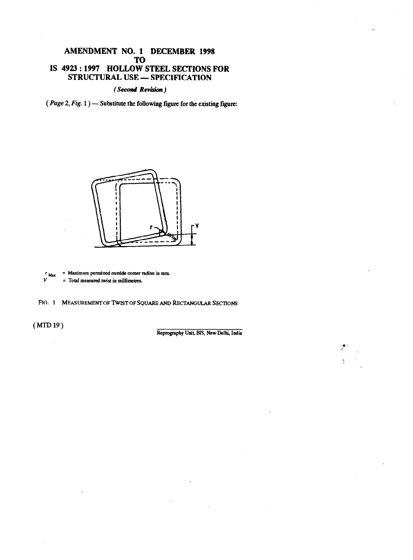# AMENDMENT NO. 1 DECEMBER 1998 TO IS 4923 : 1997 HOLLOW STEEL SECTIONS FOR STRUCTURAL USE - SPECIFICATION

(Second Revision)

(Page *2, Fig. 1) -* **Substitute the folIowing figure. for the existing figure:** 





FIG. 1 MEASUREMENT OF TWIST OF SOUARE AND RECTANGULAR SECTIONS

**(MlD19)** 

**Reprography Unit, BIS, New Delhi, India**